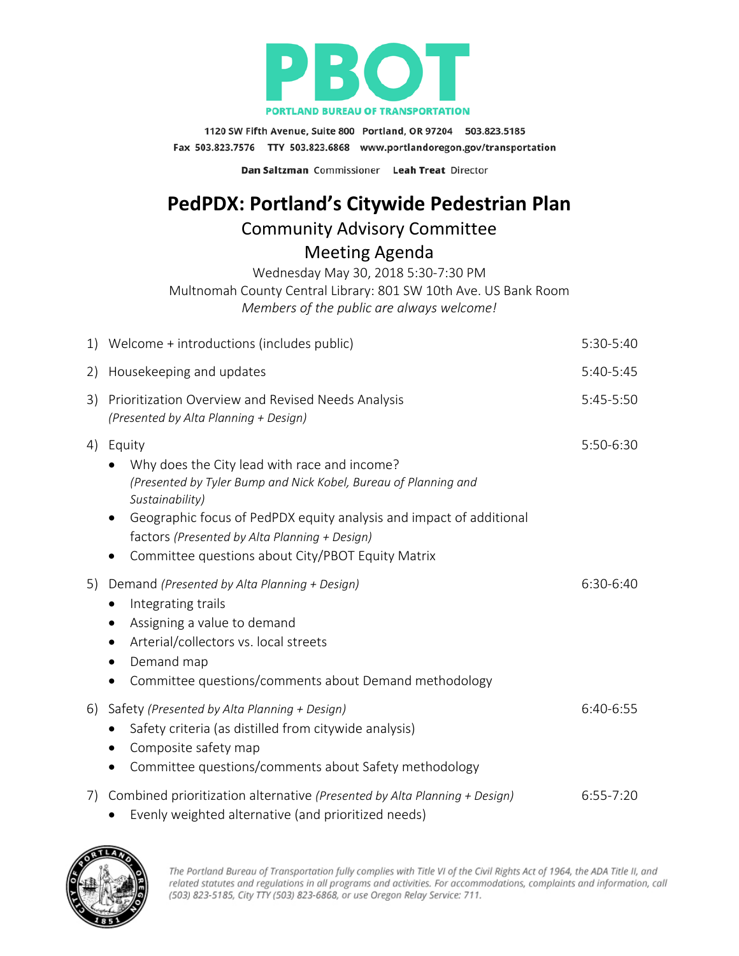

1120 SW Fifth Avenue, Suite 800 Portland, OR 97204 503.823.5185 Fax 503.823.7576 TTY 503.823.6868 www.portlandoregon.gov/transportation

Dan Saltzman Commissioner Leah Treat Director

## **PedPDX: Portland's Citywide Pedestrian Plan**

## Community Advisory Committee

Meeting Agenda

Wednesday May 30, 2018 5:30-7:30 PM

Multnomah County Central Library: 801 SW 10th Ave. US Bank Room

*Members of the public are always welcome!*

|    | 1) Welcome + introductions (includes public)                                                                                                                                                                                                                                                                                           | 5:30-5:40   |
|----|----------------------------------------------------------------------------------------------------------------------------------------------------------------------------------------------------------------------------------------------------------------------------------------------------------------------------------------|-------------|
| 2) | Housekeeping and updates                                                                                                                                                                                                                                                                                                               | 5:40-5:45   |
| 3) | Prioritization Overview and Revised Needs Analysis<br>(Presented by Alta Planning + Design)                                                                                                                                                                                                                                            | 5:45-5:50   |
| 4) | Equity<br>Why does the City lead with race and income?<br>(Presented by Tyler Bump and Nick Kobel, Bureau of Planning and<br>Sustainability)<br>Geographic focus of PedPDX equity analysis and impact of additional<br>$\bullet$<br>factors (Presented by Alta Planning + Design)<br>Committee questions about City/PBOT Equity Matrix | 5:50-6:30   |
| 5) | Demand (Presented by Alta Planning + Design)<br>Integrating trails<br>Assigning a value to demand<br>$\bullet$<br>Arterial/collectors vs. local streets<br>Demand map<br>Committee questions/comments about Demand methodology<br>٠                                                                                                    | 6:30-6:40   |
| 6) | Safety (Presented by Alta Planning + Design)<br>Safety criteria (as distilled from citywide analysis)<br>Composite safety map<br>$\bullet$<br>Committee questions/comments about Safety methodology<br>$\bullet$                                                                                                                       | 6:40-6:55   |
| 7) | Combined prioritization alternative (Presented by Alta Planning + Design)<br>Evenly weighted alternative (and prioritized needs)                                                                                                                                                                                                       | $6:55-7:20$ |



The Portland Bureau of Transportation fully complies with Title VI of the Civil Rights Act of 1964, the ADA Title II, and related statutes and regulations in all programs and activities. For accommodations, complaints and information, call (503) 823-5185, City TTY (503) 823-6868, or use Oregon Relay Service: 711.